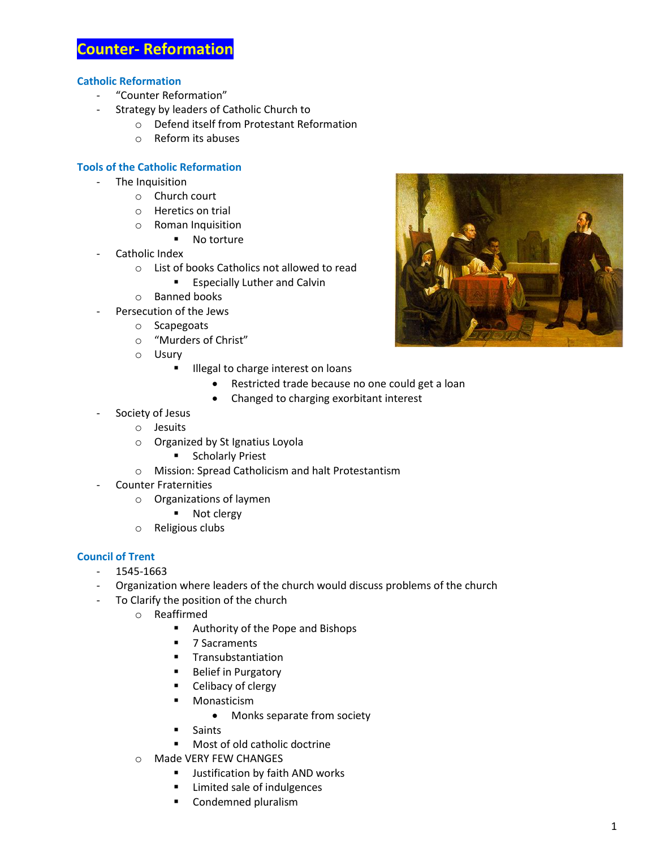# **Counter- Reformation**

## **Catholic Reformation**

- "Counter Reformation"
- Strategy by leaders of Catholic Church to
	- o Defend itself from Protestant Reformation
	- o Reform its abuses

## **Tools of the Catholic Reformation**

- The Inquisition
	- o Church court
	- o Heretics on trial
	- o Roman Inquisition
		- No torture
- Catholic Index
	- o List of books Catholics not allowed to read
		- **Especially Luther and Calvin**
	- o Banned books
- Persecution of the Jews
	- o Scapegoats
	- o "Murders of Christ"
	- o Usury
		- **Illegal to charge interest on loans** 
			- Restricted trade because no one could get a loan
			- Changed to charging exorbitant interest
- Society of Jesus
	- o Jesuits
	- o Organized by St Ignatius Loyola
		- **EXECUTE:** Scholarly Priest
	- o Mission: Spread Catholicism and halt Protestantism
	- Counter Fraternities
		- o Organizations of laymen
			- Not clergy
		- o Religious clubs

#### **Council of Trent**

- 1545-1663
- Organization where leaders of the church would discuss problems of the church
- To Clarify the position of the church
	- o Reaffirmed
		- **Authority of the Pope and Bishops**
		- 7 Sacraments
		- **Transubstantiation**
		- **Belief in Purgatory**
		- **EXEC** Celibacy of clergy
		- **Monasticism** 
			- Monks separate from society
		- Saints
		- **Most of old catholic doctrine**
	- o Made VERY FEW CHANGES
		- **Justification by faith AND works**
		- **EXECUTE:** Limited sale of indulgences
		- **Condemned pluralism**